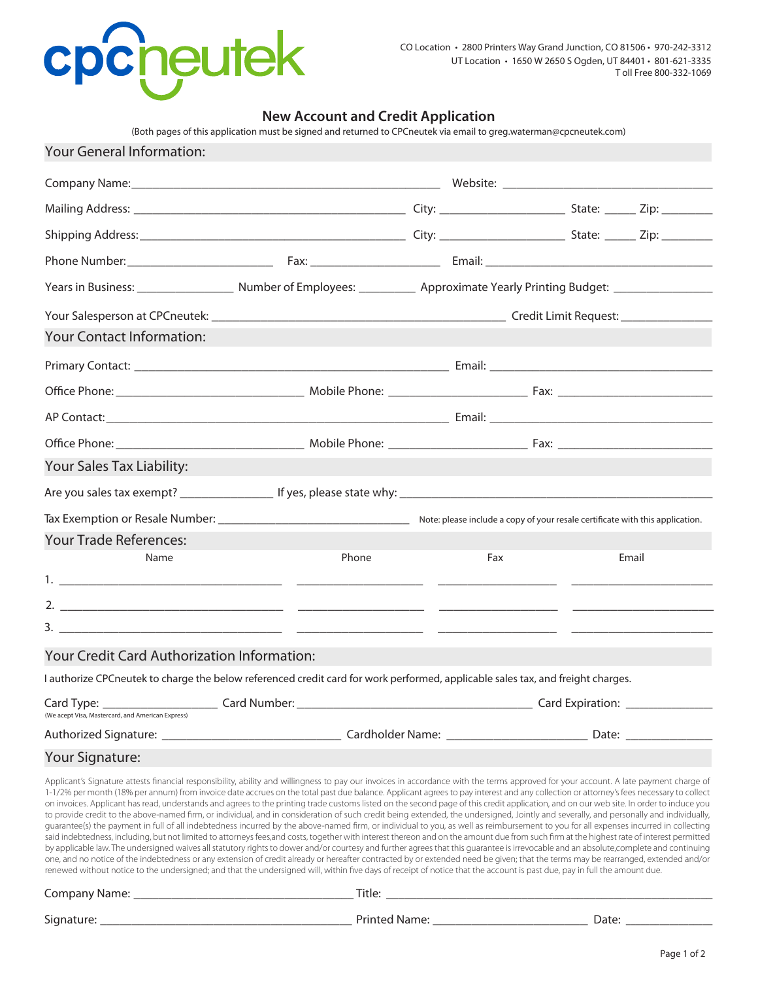

# **New Account and Credit Application**

(Both pages of this application must be signed and returned to CPCneutek via email to greg.waterman@cpcneutek.com)

| Your General Information:                                                                                                                                                                                                                                                                                                                                                                                                                                                                                                                                                                                                                                                                                                                                                                                                                                                                                                                                                                                                                                                                                                                                                                                                                                                                                                                                                                                                                                                                                                                                                                                                                                                                                          |  |       |     |              |       |
|--------------------------------------------------------------------------------------------------------------------------------------------------------------------------------------------------------------------------------------------------------------------------------------------------------------------------------------------------------------------------------------------------------------------------------------------------------------------------------------------------------------------------------------------------------------------------------------------------------------------------------------------------------------------------------------------------------------------------------------------------------------------------------------------------------------------------------------------------------------------------------------------------------------------------------------------------------------------------------------------------------------------------------------------------------------------------------------------------------------------------------------------------------------------------------------------------------------------------------------------------------------------------------------------------------------------------------------------------------------------------------------------------------------------------------------------------------------------------------------------------------------------------------------------------------------------------------------------------------------------------------------------------------------------------------------------------------------------|--|-------|-----|--------------|-------|
|                                                                                                                                                                                                                                                                                                                                                                                                                                                                                                                                                                                                                                                                                                                                                                                                                                                                                                                                                                                                                                                                                                                                                                                                                                                                                                                                                                                                                                                                                                                                                                                                                                                                                                                    |  |       |     |              |       |
|                                                                                                                                                                                                                                                                                                                                                                                                                                                                                                                                                                                                                                                                                                                                                                                                                                                                                                                                                                                                                                                                                                                                                                                                                                                                                                                                                                                                                                                                                                                                                                                                                                                                                                                    |  |       |     |              |       |
|                                                                                                                                                                                                                                                                                                                                                                                                                                                                                                                                                                                                                                                                                                                                                                                                                                                                                                                                                                                                                                                                                                                                                                                                                                                                                                                                                                                                                                                                                                                                                                                                                                                                                                                    |  |       |     |              |       |
|                                                                                                                                                                                                                                                                                                                                                                                                                                                                                                                                                                                                                                                                                                                                                                                                                                                                                                                                                                                                                                                                                                                                                                                                                                                                                                                                                                                                                                                                                                                                                                                                                                                                                                                    |  |       |     |              |       |
|                                                                                                                                                                                                                                                                                                                                                                                                                                                                                                                                                                                                                                                                                                                                                                                                                                                                                                                                                                                                                                                                                                                                                                                                                                                                                                                                                                                                                                                                                                                                                                                                                                                                                                                    |  |       |     |              |       |
| Your Contact Information:                                                                                                                                                                                                                                                                                                                                                                                                                                                                                                                                                                                                                                                                                                                                                                                                                                                                                                                                                                                                                                                                                                                                                                                                                                                                                                                                                                                                                                                                                                                                                                                                                                                                                          |  |       |     |              |       |
|                                                                                                                                                                                                                                                                                                                                                                                                                                                                                                                                                                                                                                                                                                                                                                                                                                                                                                                                                                                                                                                                                                                                                                                                                                                                                                                                                                                                                                                                                                                                                                                                                                                                                                                    |  |       |     |              |       |
|                                                                                                                                                                                                                                                                                                                                                                                                                                                                                                                                                                                                                                                                                                                                                                                                                                                                                                                                                                                                                                                                                                                                                                                                                                                                                                                                                                                                                                                                                                                                                                                                                                                                                                                    |  |       |     |              |       |
|                                                                                                                                                                                                                                                                                                                                                                                                                                                                                                                                                                                                                                                                                                                                                                                                                                                                                                                                                                                                                                                                                                                                                                                                                                                                                                                                                                                                                                                                                                                                                                                                                                                                                                                    |  |       |     |              |       |
|                                                                                                                                                                                                                                                                                                                                                                                                                                                                                                                                                                                                                                                                                                                                                                                                                                                                                                                                                                                                                                                                                                                                                                                                                                                                                                                                                                                                                                                                                                                                                                                                                                                                                                                    |  |       |     |              |       |
| Your Sales Tax Liability:                                                                                                                                                                                                                                                                                                                                                                                                                                                                                                                                                                                                                                                                                                                                                                                                                                                                                                                                                                                                                                                                                                                                                                                                                                                                                                                                                                                                                                                                                                                                                                                                                                                                                          |  |       |     |              |       |
|                                                                                                                                                                                                                                                                                                                                                                                                                                                                                                                                                                                                                                                                                                                                                                                                                                                                                                                                                                                                                                                                                                                                                                                                                                                                                                                                                                                                                                                                                                                                                                                                                                                                                                                    |  |       |     |              |       |
|                                                                                                                                                                                                                                                                                                                                                                                                                                                                                                                                                                                                                                                                                                                                                                                                                                                                                                                                                                                                                                                                                                                                                                                                                                                                                                                                                                                                                                                                                                                                                                                                                                                                                                                    |  |       |     |              |       |
| <b>Your Trade References:</b>                                                                                                                                                                                                                                                                                                                                                                                                                                                                                                                                                                                                                                                                                                                                                                                                                                                                                                                                                                                                                                                                                                                                                                                                                                                                                                                                                                                                                                                                                                                                                                                                                                                                                      |  |       |     |              |       |
| Name                                                                                                                                                                                                                                                                                                                                                                                                                                                                                                                                                                                                                                                                                                                                                                                                                                                                                                                                                                                                                                                                                                                                                                                                                                                                                                                                                                                                                                                                                                                                                                                                                                                                                                               |  | Phone | Fax |              | Email |
|                                                                                                                                                                                                                                                                                                                                                                                                                                                                                                                                                                                                                                                                                                                                                                                                                                                                                                                                                                                                                                                                                                                                                                                                                                                                                                                                                                                                                                                                                                                                                                                                                                                                                                                    |  |       |     |              |       |
|                                                                                                                                                                                                                                                                                                                                                                                                                                                                                                                                                                                                                                                                                                                                                                                                                                                                                                                                                                                                                                                                                                                                                                                                                                                                                                                                                                                                                                                                                                                                                                                                                                                                                                                    |  |       |     |              |       |
| <b>Your Credit Card Authorization Information:</b>                                                                                                                                                                                                                                                                                                                                                                                                                                                                                                                                                                                                                                                                                                                                                                                                                                                                                                                                                                                                                                                                                                                                                                                                                                                                                                                                                                                                                                                                                                                                                                                                                                                                 |  |       |     |              |       |
| I authorize CPCneutek to charge the below referenced credit card for work performed, applicable sales tax, and freight charges.                                                                                                                                                                                                                                                                                                                                                                                                                                                                                                                                                                                                                                                                                                                                                                                                                                                                                                                                                                                                                                                                                                                                                                                                                                                                                                                                                                                                                                                                                                                                                                                    |  |       |     |              |       |
|                                                                                                                                                                                                                                                                                                                                                                                                                                                                                                                                                                                                                                                                                                                                                                                                                                                                                                                                                                                                                                                                                                                                                                                                                                                                                                                                                                                                                                                                                                                                                                                                                                                                                                                    |  |       |     |              |       |
| (We acept Visa, Mastercard, and American Express)                                                                                                                                                                                                                                                                                                                                                                                                                                                                                                                                                                                                                                                                                                                                                                                                                                                                                                                                                                                                                                                                                                                                                                                                                                                                                                                                                                                                                                                                                                                                                                                                                                                                  |  |       |     |              |       |
| Your Signature:                                                                                                                                                                                                                                                                                                                                                                                                                                                                                                                                                                                                                                                                                                                                                                                                                                                                                                                                                                                                                                                                                                                                                                                                                                                                                                                                                                                                                                                                                                                                                                                                                                                                                                    |  |       |     |              |       |
| Applicant's Signature attests financial responsibility, ability and willingness to pay our invoices in accordance with the terms approved for your account. A late payment charge of<br>1-1/2% per month (18% per annum) from invoice date accrues on the total past due balance. Applicant agrees to pay interest and any collection or attorney's fees necessary to collect<br>on invoices. Applicant has read, understands and agrees to the printing trade customs listed on the second page of this credit application, and on our web site. In order to induce you<br>to provide credit to the above-named firm, or individual, and in consideration of such credit being extended, the undersigned, Jointly and severally, and personally and individually,<br>quarantee(s) the payment in full of all indebtedness incurred by the above-named firm, or individual to you, as well as reimbursement to you for all expenses incurred in collecting<br>said indebtedness, including, but not limited to attorneys fees, and costs, together with interest thereon and on the amount due from such firm at the highest rate of interest permitted<br>by applicable law. The undersigned waives all statutory rights to dower and/or courtesy and further agrees that this quarantee is irrevocable and an absolute,complete and continuing<br>one, and no notice of the indebtedness or any extension of credit already or hereafter contracted by or extended need be given; that the terms may be rearranged, extended and/or<br>renewed without notice to the undersigned; and that the undersigned will, within five days of receipt of notice that the account is past due, pay in full the amount due. |  |       |     |              |       |
|                                                                                                                                                                                                                                                                                                                                                                                                                                                                                                                                                                                                                                                                                                                                                                                                                                                                                                                                                                                                                                                                                                                                                                                                                                                                                                                                                                                                                                                                                                                                                                                                                                                                                                                    |  |       |     |              |       |
|                                                                                                                                                                                                                                                                                                                                                                                                                                                                                                                                                                                                                                                                                                                                                                                                                                                                                                                                                                                                                                                                                                                                                                                                                                                                                                                                                                                                                                                                                                                                                                                                                                                                                                                    |  |       |     | Date: $\_\_$ |       |